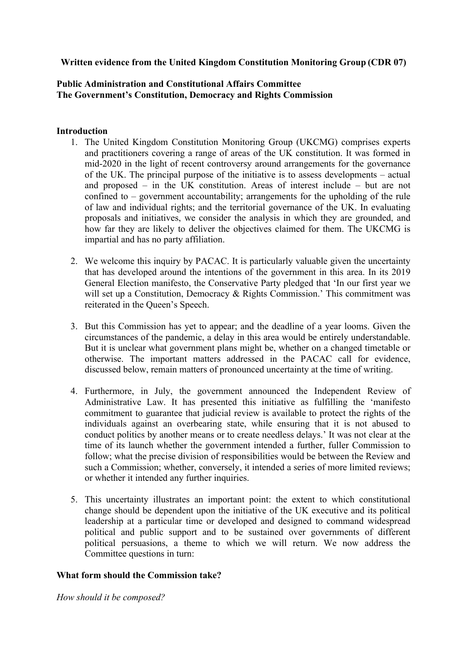# **Written evidence from the United Kingdom Constitution Monitoring Group (CDR 07)**

## **Public Administration and Constitutional Affairs Committee The Government's Constitution, Democracy and Rights Commission**

### **Introduction**

- 1. The United Kingdom Constitution Monitoring Group (UKCMG) comprises experts and practitioners covering a range of areas of the UK constitution. It was formed in mid-2020 in the light of recent controversy around arrangements for the governance of the UK. The principal purpose of the initiative is to assess developments – actual and proposed – in the UK constitution. Areas of interest include – but are not confined to – government accountability; arrangements for the upholding of the rule of law and individual rights; and the territorial governance of the UK. In evaluating proposals and initiatives, we consider the analysis in which they are grounded, and how far they are likely to deliver the objectives claimed for them. The UKCMG is impartial and has no party affiliation.
- 2. We welcome this inquiry by PACAC. It is particularly valuable given the uncertainty that has developed around the intentions of the government in this area. In its 2019 General Election manifesto, the Conservative Party pledged that 'In our first year we will set up a Constitution, Democracy & Rights Commission.' This commitment was reiterated in the Queen's Speech.
- 3. But this Commission has yet to appear; and the deadline of a year looms. Given the circumstances of the pandemic, a delay in this area would be entirely understandable. But it is unclear what government plans might be, whether on a changed timetable or otherwise. The important matters addressed in the PACAC call for evidence, discussed below, remain matters of pronounced uncertainty at the time of writing.
- 4. Furthermore, in July, the government announced the Independent Review of Administrative Law. It has presented this initiative as fulfilling the 'manifesto commitment to guarantee that judicial review is available to protect the rights of the individuals against an overbearing state, while ensuring that it is not abused to conduct politics by another means or to create needless delays.' It was not clear at the time of its launch whether the government intended a further, fuller Commission to follow; what the precise division of responsibilities would be between the Review and such a Commission; whether, conversely, it intended a series of more limited reviews; or whether it intended any further inquiries.
- 5. This uncertainty illustrates an important point: the extent to which constitutional change should be dependent upon the initiative of the UK executive and its political leadership at a particular time or developed and designed to command widespread political and public support and to be sustained over governments of different political persuasions, a theme to which we will return. We now address the Committee questions in turn:

### **What form should the Commission take?**

*How should it be composed?*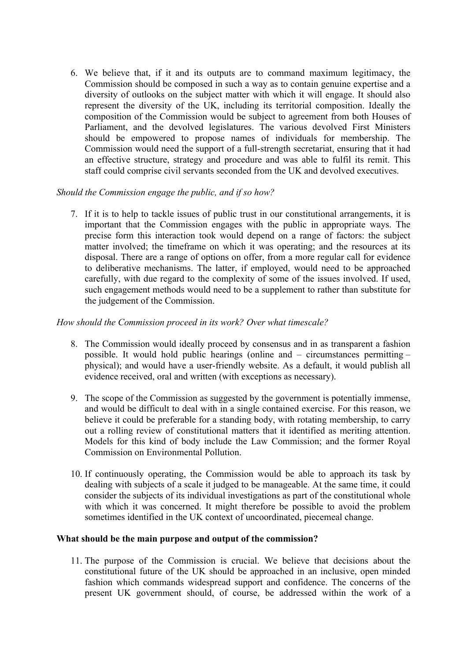6. We believe that, if it and its outputs are to command maximum legitimacy, the Commission should be composed in such a way as to contain genuine expertise and a diversity of outlooks on the subject matter with which it will engage. It should also represent the diversity of the UK, including its territorial composition. Ideally the composition of the Commission would be subject to agreement from both Houses of Parliament, and the devolved legislatures. The various devolved First Ministers should be empowered to propose names of individuals for membership. The Commission would need the support of a full-strength secretariat, ensuring that it had an effective structure, strategy and procedure and was able to fulfil its remit. This staff could comprise civil servants seconded from the UK and devolved executives.

# *Should the Commission engage the public, and if so how?*

7. If it is to help to tackle issues of public trust in our constitutional arrangements, it is important that the Commission engages with the public in appropriate ways. The precise form this interaction took would depend on a range of factors: the subject matter involved; the timeframe on which it was operating; and the resources at its disposal. There are a range of options on offer, from a more regular call for evidence to deliberative mechanisms. The latter, if employed, would need to be approached carefully, with due regard to the complexity of some of the issues involved. If used, such engagement methods would need to be a supplement to rather than substitute for the judgement of the Commission.

## *How should the Commission proceed in its work? Over what timescale?*

- 8. The Commission would ideally proceed by consensus and in as transparent a fashion possible. It would hold public hearings (online and – circumstances permitting – physical); and would have a user-friendly website. As a default, it would publish all evidence received, oral and written (with exceptions as necessary).
- 9. The scope of the Commission as suggested by the government is potentially immense, and would be difficult to deal with in a single contained exercise. For this reason, we believe it could be preferable for a standing body, with rotating membership, to carry out a rolling review of constitutional matters that it identified as meriting attention. Models for this kind of body include the Law Commission; and the former Royal Commission on Environmental Pollution.
- 10. If continuously operating, the Commission would be able to approach its task by dealing with subjects of a scale it judged to be manageable. At the same time, it could consider the subjects of its individual investigations as part of the constitutional whole with which it was concerned. It might therefore be possible to avoid the problem sometimes identified in the UK context of uncoordinated, piecemeal change.

### **What should be the main purpose and output of the commission?**

11. The purpose of the Commission is crucial. We believe that decisions about the constitutional future of the UK should be approached in an inclusive, open minded fashion which commands widespread support and confidence. The concerns of the present UK government should, of course, be addressed within the work of a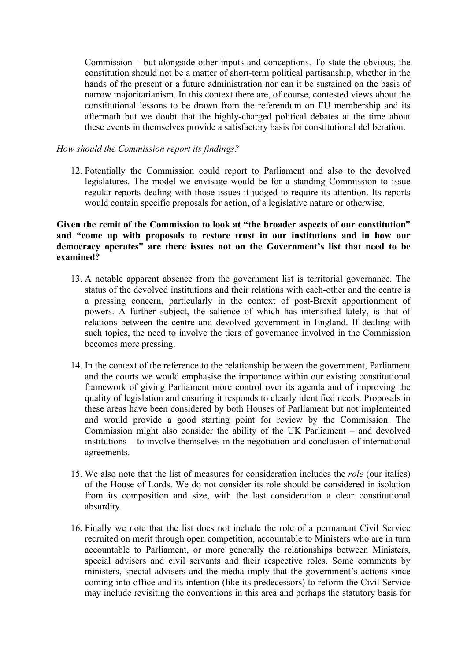Commission – but alongside other inputs and conceptions. To state the obvious, the constitution should not be a matter of short-term political partisanship, whether in the hands of the present or a future administration nor can it be sustained on the basis of narrow majoritarianism. In this context there are, of course, contested views about the constitutional lessons to be drawn from the referendum on EU membership and its aftermath but we doubt that the highly-charged political debates at the time about these events in themselves provide a satisfactory basis for constitutional deliberation.

### *How should the Commission report its findings?*

12. Potentially the Commission could report to Parliament and also to the devolved legislatures. The model we envisage would be for a standing Commission to issue regular reports dealing with those issues it judged to require its attention. Its reports would contain specific proposals for action, of a legislative nature or otherwise.

## **Given the remit of the Commission to look at "the broader aspects of our constitution" and "come up with proposals to restore trust in our institutions and in how our democracy operates" are there issues not on the Government's list that need to be examined?**

- 13. A notable apparent absence from the government list is territorial governance. The status of the devolved institutions and their relations with each-other and the centre is a pressing concern, particularly in the context of post-Brexit apportionment of powers. A further subject, the salience of which has intensified lately, is that of relations between the centre and devolved government in England. If dealing with such topics, the need to involve the tiers of governance involved in the Commission becomes more pressing.
- 14. In the context of the reference to the relationship between the government, Parliament and the courts we would emphasise the importance within our existing constitutional framework of giving Parliament more control over its agenda and of improving the quality of legislation and ensuring it responds to clearly identified needs. Proposals in these areas have been considered by both Houses of Parliament but not implemented and would provide a good starting point for review by the Commission. The Commission might also consider the ability of the UK Parliament – and devolved institutions – to involve themselves in the negotiation and conclusion of international agreements.
- 15. We also note that the list of measures for consideration includes the *role* (our italics) of the House of Lords. We do not consider its role should be considered in isolation from its composition and size, with the last consideration a clear constitutional absurdity.
- 16. Finally we note that the list does not include the role of a permanent Civil Service recruited on merit through open competition, accountable to Ministers who are in turn accountable to Parliament, or more generally the relationships between Ministers, special advisers and civil servants and their respective roles. Some comments by ministers, special advisers and the media imply that the government's actions since coming into office and its intention (like its predecessors) to reform the Civil Service may include revisiting the conventions in this area and perhaps the statutory basis for